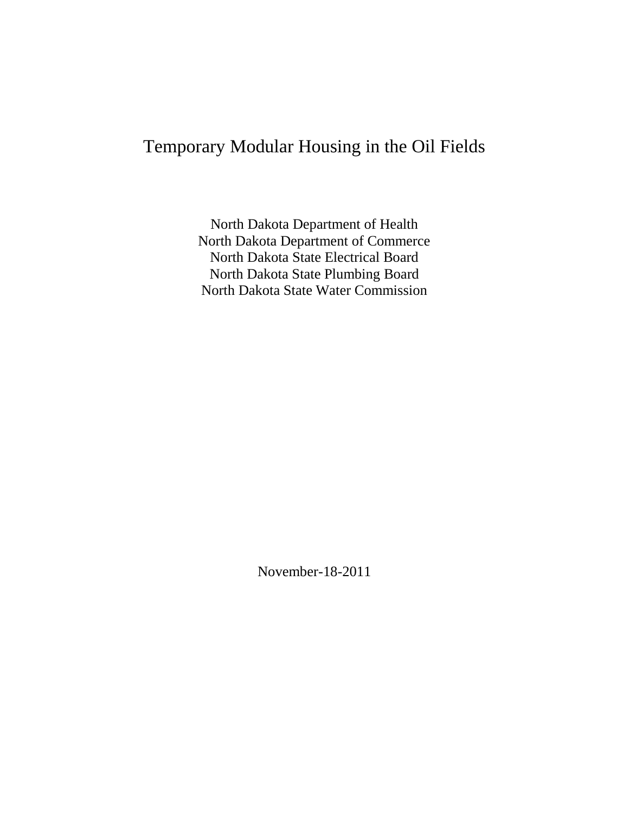# Temporary Modular Housing in the Oil Fields

North Dakota Department of Health North Dakota Department of Commerce North Dakota State Electrical Board North Dakota State Plumbing Board North Dakota State Water Commission

November-18-2011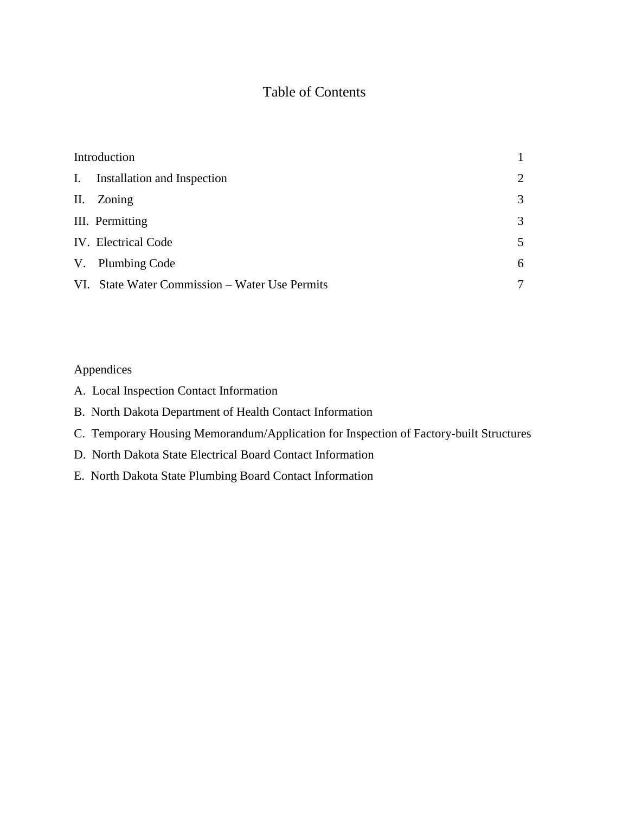# Table of Contents

| Introduction |                                                |                |
|--------------|------------------------------------------------|----------------|
|              | I. Installation and Inspection                 | $\overline{2}$ |
|              | II. Zoning                                     | 3              |
|              | III. Permitting                                | 3              |
|              | IV. Electrical Code                            | 5              |
|              | V. Plumbing Code                               | 6              |
|              | VI. State Water Commission – Water Use Permits | 7              |

Appendices

- A. Local Inspection Contact Information
- B. North Dakota Department of Health Contact Information
- C. Temporary Housing Memorandum/Application for Inspection of Factory-built Structures
- D. North Dakota State Electrical Board Contact Information
- E. North Dakota State Plumbing Board Contact Information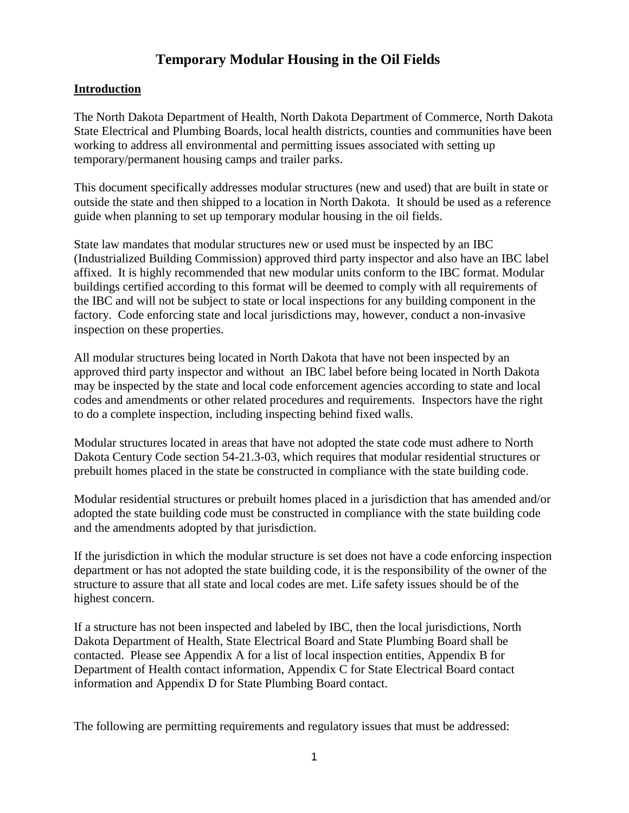# **Temporary Modular Housing in the Oil Fields**

# **Introduction**

The North Dakota Department of Health, North Dakota Department of Commerce, North Dakota State Electrical and Plumbing Boards, local health districts, counties and communities have been working to address all environmental and permitting issues associated with setting up temporary/permanent housing camps and trailer parks.

This document specifically addresses modular structures (new and used) that are built in state or outside the state and then shipped to a location in North Dakota. It should be used as a reference guide when planning to set up temporary modular housing in the oil fields.

State law mandates that modular structures new or used must be inspected by an IBC (Industrialized Building Commission) approved third party inspector and also have an IBC label affixed. It is highly recommended that new modular units conform to the IBC format. Modular buildings certified according to this format will be deemed to comply with all requirements of the IBC and will not be subject to state or local inspections for any building component in the factory. Code enforcing state and local jurisdictions may, however, conduct a non-invasive inspection on these properties.

All modular structures being located in North Dakota that have not been inspected by an approved third party inspector and without an IBC label before being located in North Dakota may be inspected by the state and local code enforcement agencies according to state and local codes and amendments or other related procedures and requirements. Inspectors have the right to do a complete inspection, including inspecting behind fixed walls.

Modular structures located in areas that have not adopted the state code must adhere to North Dakota Century Code section 54-21.3-03, which requires that modular residential structures or prebuilt homes placed in the state be constructed in compliance with the state building code.

Modular residential structures or prebuilt homes placed in a jurisdiction that has amended and/or adopted the state building code must be constructed in compliance with the state building code and the amendments adopted by that jurisdiction.

If the jurisdiction in which the modular structure is set does not have a code enforcing inspection department or has not adopted the state building code, it is the responsibility of the owner of the structure to assure that all state and local codes are met. Life safety issues should be of the highest concern.

If a structure has not been inspected and labeled by IBC, then the local jurisdictions, North Dakota Department of Health, State Electrical Board and State Plumbing Board shall be contacted. Please see Appendix A for a list of local inspection entities, Appendix B for Department of Health contact information, Appendix C for State Electrical Board contact information and Appendix D for State Plumbing Board contact.

The following are permitting requirements and regulatory issues that must be addressed: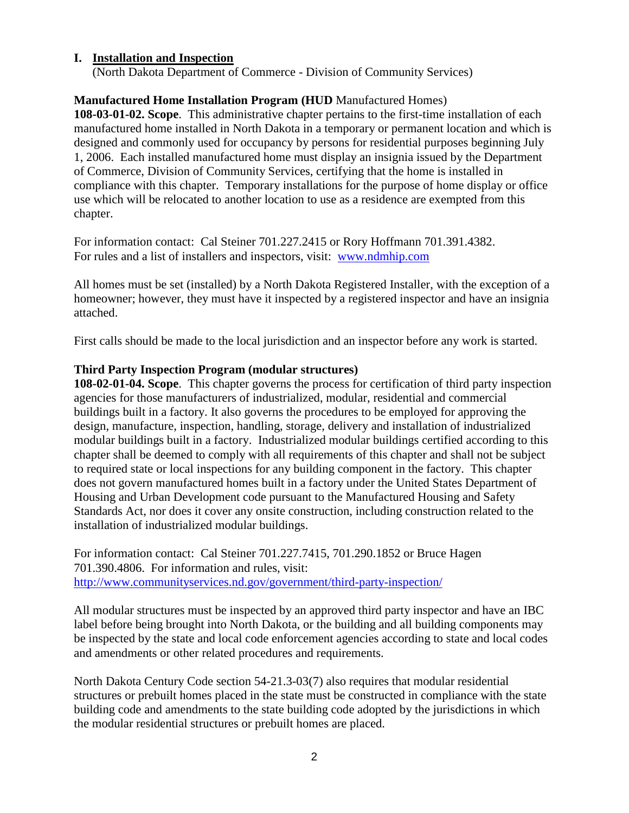### **I. Installation and Inspection**

(North Dakota Department of Commerce - Division of Community Services)

# **Manufactured Home Installation Program (HUD** Manufactured Homes)

**108-03-01-02. Scope**. This administrative chapter pertains to the first-time installation of each manufactured home installed in North Dakota in a temporary or permanent location and which is designed and commonly used for occupancy by persons for residential purposes beginning July 1, 2006. Each installed manufactured home must display an insignia issued by the Department of Commerce, Division of Community Services, certifying that the home is installed in compliance with this chapter. Temporary installations for the purpose of home display or office use which will be relocated to another location to use as a residence are exempted from this chapter.

For information contact: Cal Steiner 701.227.2415 or Rory Hoffmann 701.391.4382. For rules and a list of installers and inspectors, visit: [www.ndmhip.com](http://www.ndmhip.com/)

All homes must be set (installed) by a North Dakota Registered Installer, with the exception of a homeowner; however, they must have it inspected by a registered inspector and have an insignia attached.

First calls should be made to the local jurisdiction and an inspector before any work is started.

# **Third Party Inspection Program (modular structures)**

**108-02-01-04. Scope**. This chapter governs the process for certification of third party inspection agencies for those manufacturers of industrialized, modular, residential and commercial buildings built in a factory. It also governs the procedures to be employed for approving the design, manufacture, inspection, handling, storage, delivery and installation of industrialized modular buildings built in a factory. Industrialized modular buildings certified according to this chapter shall be deemed to comply with all requirements of this chapter and shall not be subject to required state or local inspections for any building component in the factory. This chapter does not govern manufactured homes built in a factory under the United States Department of Housing and Urban Development code pursuant to the Manufactured Housing and Safety Standards Act, nor does it cover any onsite construction, including construction related to the installation of industrialized modular buildings.

For information contact: Cal Steiner 701.227.7415, 701.290.1852 or Bruce Hagen 701.390.4806. For information and rules, visit: <http://www.communityservices.nd.gov/government/third-party-inspection/>

All modular structures must be inspected by an approved third party inspector and have an IBC label before being brought into North Dakota, or the building and all building components may be inspected by the state and local code enforcement agencies according to state and local codes and amendments or other related procedures and requirements.

North Dakota Century Code section 54-21.3-03(7) also requires that modular residential structures or prebuilt homes placed in the state must be constructed in compliance with the state building code and amendments to the state building code adopted by the jurisdictions in which the modular residential structures or prebuilt homes are placed.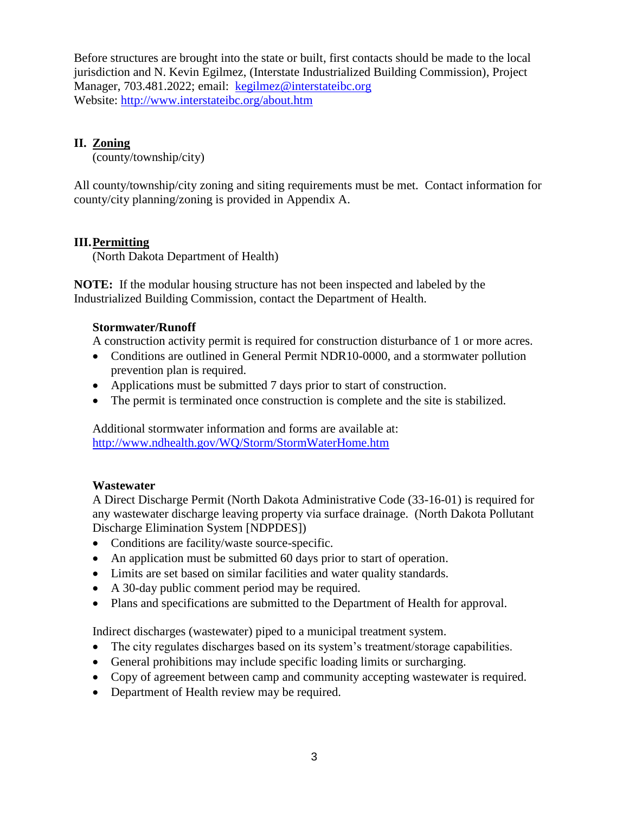Before structures are brought into the state or built, first contacts should be made to the local jurisdiction and N. Kevin Egilmez, (Interstate Industrialized Building Commission), Project Manager, 703.481.2022; email: kegilmez@interstateibc.org Website: <http://www.interstateibc.org/about.htm>

# **II. Zoning**

(county/township/city)

All county/township/city zoning and siting requirements must be met. Contact information for county/city planning/zoning is provided in Appendix A.

# **III.Permitting**

(North Dakota Department of Health)

**NOTE:** If the modular housing structure has not been inspected and labeled by the Industrialized Building Commission, contact the Department of Health.

### **Stormwater/Runoff**

A construction activity permit is required for construction disturbance of 1 or more acres.

- Conditions are outlined in General Permit NDR10-0000, and a stormwater pollution prevention plan is required.
- Applications must be submitted 7 days prior to start of construction.
- The permit is terminated once construction is complete and the site is stabilized.

Additional stormwater information and forms are available at: <http://www.ndhealth.gov/WQ/Storm/StormWaterHome.htm>

# **Wastewater**

A Direct Discharge Permit (North Dakota Administrative Code (33-16-01) is required for any wastewater discharge leaving property via surface drainage. (North Dakota Pollutant Discharge Elimination System [NDPDES])

- Conditions are facility/waste source-specific.
- An application must be submitted 60 days prior to start of operation.
- Limits are set based on similar facilities and water quality standards.
- A 30-day public comment period may be required.
- Plans and specifications are submitted to the Department of Health for approval.

Indirect discharges (wastewater) piped to a municipal treatment system.

- The city regulates discharges based on its system's treatment/storage capabilities.
- General prohibitions may include specific loading limits or surcharging.
- Copy of agreement between camp and community accepting wastewater is required.
- Department of Health review may be required.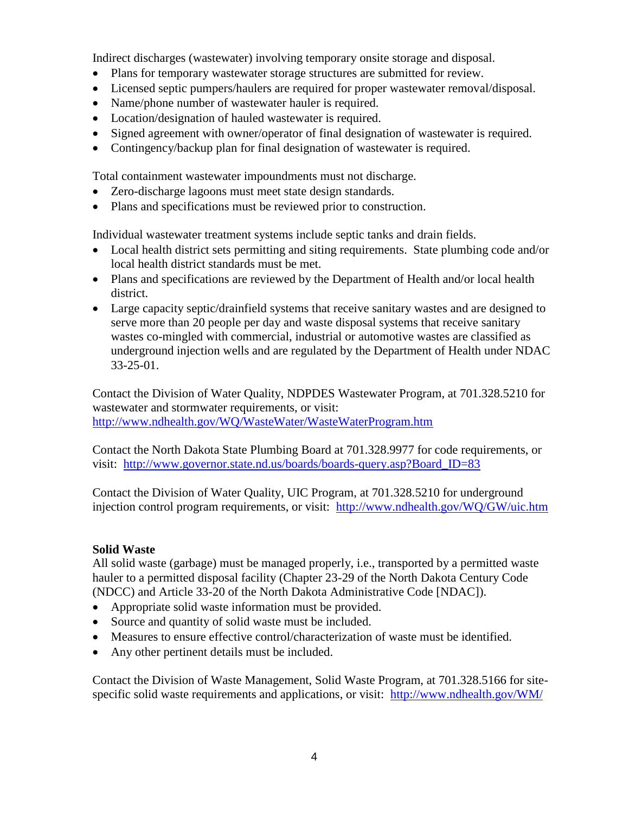Indirect discharges (wastewater) involving temporary onsite storage and disposal.

- Plans for temporary wastewater storage structures are submitted for review.
- Licensed septic pumpers/haulers are required for proper wastewater removal/disposal.
- Name/phone number of wastewater hauler is required.
- Location/designation of hauled wastewater is required.
- Signed agreement with owner/operator of final designation of wastewater is required.
- Contingency/backup plan for final designation of wastewater is required.

Total containment wastewater impoundments must not discharge.

- Zero-discharge lagoons must meet state design standards.
- Plans and specifications must be reviewed prior to construction.

Individual wastewater treatment systems include septic tanks and drain fields.

- Local health district sets permitting and siting requirements. State plumbing code and/or local health district standards must be met.
- Plans and specifications are reviewed by the Department of Health and/or local health district.
- Large capacity septic/drainfield systems that receive sanitary wastes and are designed to serve more than 20 people per day and waste disposal systems that receive sanitary wastes co-mingled with commercial, industrial or automotive wastes are classified as underground injection wells and are regulated by the Department of Health under NDAC 33-25-01.

Contact the Division of Water Quality, NDPDES Wastewater Program, at 701.328.5210 for wastewater and stormwater requirements, or visit: <http://www.ndhealth.gov/WQ/WasteWater/WasteWaterProgram.htm>

Contact the North Dakota State Plumbing Board at 701.328.9977 for code requirements, or visit: [http://www.governor.state.nd.us/boards/boards-query.asp?Board\\_ID=83](http://www.governor.state.nd.us/boards/boards-query.asp?Board_ID=83)

Contact the Division of Water Quality, UIC Program, at 701.328.5210 for underground injection control program requirements, or visit: <http://www.ndhealth.gov/WQ/GW/uic.htm>

### **Solid Waste**

All solid waste (garbage) must be managed properly, i.e., transported by a permitted waste hauler to a permitted disposal facility (Chapter 23-29 of the North Dakota Century Code (NDCC) and Article 33-20 of the North Dakota Administrative Code [NDAC]).

- Appropriate solid waste information must be provided.
- Source and quantity of solid waste must be included.
- Measures to ensure effective control/characterization of waste must be identified.
- Any other pertinent details must be included.

Contact the Division of Waste Management, Solid Waste Program, at 701.328.5166 for sitespecific solid waste requirements and applications, or visit: <http://www.ndhealth.gov/WM/>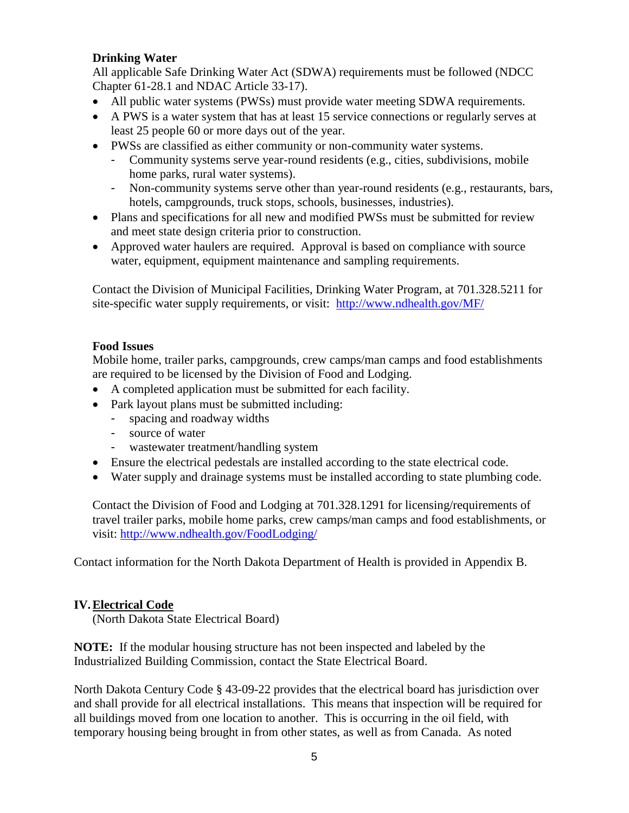# **Drinking Water**

All applicable Safe Drinking Water Act (SDWA) requirements must be followed (NDCC Chapter 61-28.1 and NDAC Article 33-17).

- All public water systems (PWSs) must provide water meeting SDWA requirements.
- A PWS is a water system that has at least 15 service connections or regularly serves at least 25 people 60 or more days out of the year.
- PWSs are classified as either community or non-community water systems.
	- Community systems serve year-round residents (e.g., cities, subdivisions, mobile home parks, rural water systems).
	- Non-community systems serve other than year-round residents (e.g., restaurants, bars, hotels, campgrounds, truck stops, schools, businesses, industries).
- Plans and specifications for all new and modified PWSs must be submitted for review and meet state design criteria prior to construction.
- Approved water haulers are required. Approval is based on compliance with source water, equipment, equipment maintenance and sampling requirements.

Contact the Division of Municipal Facilities, Drinking Water Program, at 701.328.5211 for site-specific water supply requirements, or visit: <http://www.ndhealth.gov/MF/>

# **Food Issues**

Mobile home, trailer parks, campgrounds, crew camps/man camps and food establishments are required to be licensed by the Division of Food and Lodging.

- A completed application must be submitted for each facility.
- Park layout plans must be submitted including:
	- spacing and roadway widths
	- source of water
	- wastewater treatment/handling system
- Ensure the electrical pedestals are installed according to the state electrical code.
- Water supply and drainage systems must be installed according to state plumbing code.

Contact the Division of Food and Lodging at 701.328.1291 for licensing/requirements of travel trailer parks, mobile home parks, crew camps/man camps and food establishments, or visit: <http://www.ndhealth.gov/FoodLodging/>

Contact information for the North Dakota Department of Health is provided in Appendix B.

### **IV.Electrical Code**

(North Dakota State Electrical Board)

**NOTE:** If the modular housing structure has not been inspected and labeled by the Industrialized Building Commission, contact the State Electrical Board.

North Dakota Century Code § 43-09-22 provides that the electrical board has jurisdiction over and shall provide for all electrical installations. This means that inspection will be required for all buildings moved from one location to another. This is occurring in the oil field, with temporary housing being brought in from other states, as well as from Canada. As noted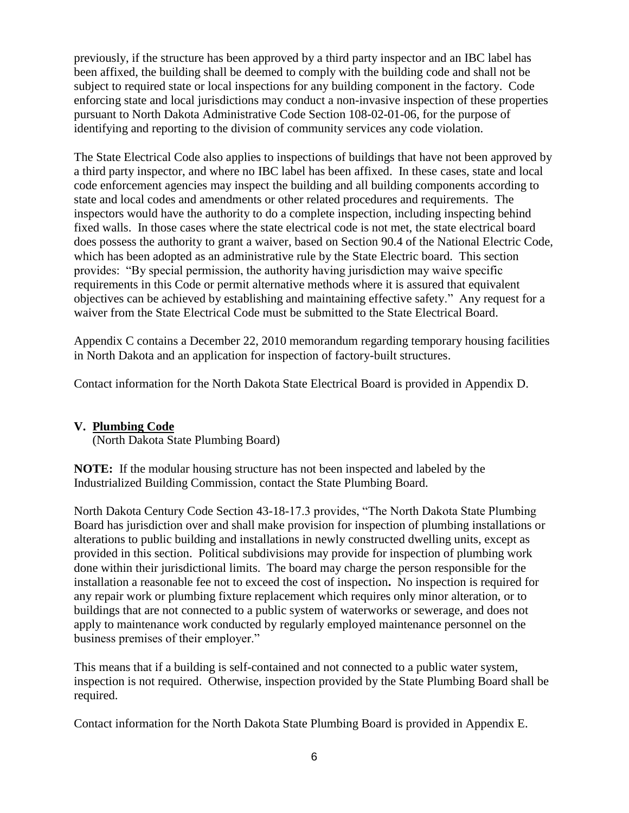previously, if the structure has been approved by a third party inspector and an IBC label has been affixed, the building shall be deemed to comply with the building code and shall not be subject to required state or local inspections for any building component in the factory. Code enforcing state and local jurisdictions may conduct a non-invasive inspection of these properties pursuant to North Dakota Administrative Code Section 108-02-01-06, for the purpose of identifying and reporting to the division of community services any code violation.

The State Electrical Code also applies to inspections of buildings that have not been approved by a third party inspector, and where no IBC label has been affixed. In these cases, state and local code enforcement agencies may inspect the building and all building components according to state and local codes and amendments or other related procedures and requirements. The inspectors would have the authority to do a complete inspection, including inspecting behind fixed walls. In those cases where the state electrical code is not met, the state electrical board does possess the authority to grant a waiver, based on Section 90.4 of the National Electric Code, which has been adopted as an administrative rule by the State Electric board. This section provides: "By special permission, the authority having jurisdiction may waive specific requirements in this Code or permit alternative methods where it is assured that equivalent objectives can be achieved by establishing and maintaining effective safety." Any request for a waiver from the State Electrical Code must be submitted to the State Electrical Board.

Appendix C contains a December 22, 2010 memorandum regarding temporary housing facilities in North Dakota and an application for inspection of factory-built structures.

Contact information for the North Dakota State Electrical Board is provided in Appendix D.

# **V. Plumbing Code**

(North Dakota State Plumbing Board)

**NOTE:** If the modular housing structure has not been inspected and labeled by the Industrialized Building Commission, contact the State Plumbing Board.

North Dakota Century Code Section 43-18-17.3 provides, "The North Dakota State Plumbing Board has jurisdiction over and shall make provision for inspection of plumbing installations or alterations to public building and installations in newly constructed dwelling units, except as provided in this section. Political subdivisions may provide for inspection of plumbing work done within their jurisdictional limits. The board may charge the person responsible for the installation a reasonable fee not to exceed the cost of inspection**.** No inspection is required for any repair work or plumbing fixture replacement which requires only minor alteration, or to buildings that are not connected to a public system of waterworks or sewerage, and does not apply to maintenance work conducted by regularly employed maintenance personnel on the business premises of their employer."

This means that if a building is self-contained and not connected to a public water system, inspection is not required. Otherwise, inspection provided by the State Plumbing Board shall be required.

Contact information for the North Dakota State Plumbing Board is provided in Appendix E.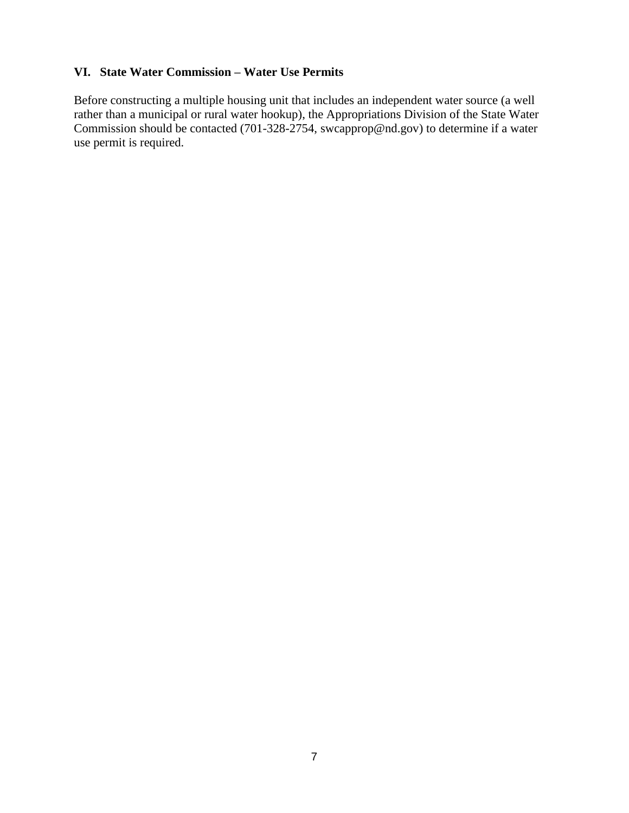# **VI. State Water Commission – Water Use Permits**

Before constructing a multiple housing unit that includes an independent water source (a well rather than a municipal or rural water hookup), the Appropriations Division of the State Water Commission should be contacted (701-328-2754, [swcapprop@nd.gov\)](mailto:swcapprop@nd.gov) to determine if a water use permit is required.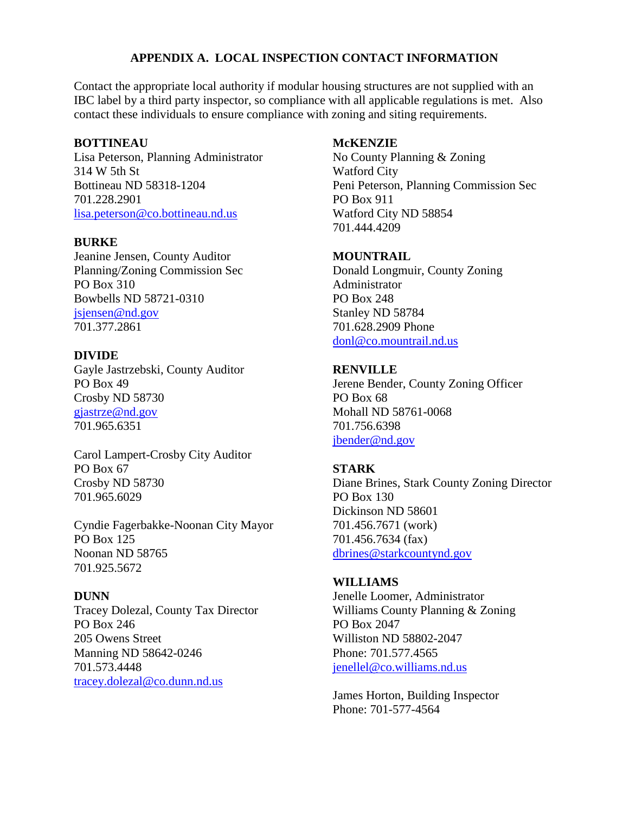# **APPENDIX A. LOCAL INSPECTION CONTACT INFORMATION**

Contact the appropriate local authority if modular housing structures are not supplied with an IBC label by a third party inspector, so compliance with all applicable regulations is met. Also contact these individuals to ensure compliance with zoning and siting requirements.

#### **BOTTINEAU**

Lisa Peterson, Planning Administrator 314 W 5th St Bottineau ND 58318-1204 701.228.2901 [lisa.peterson@co.bottineau.nd.us](mailto:lisa.peterson@co.bottineau.nd.us)

#### **BURKE**

Jeanine Jensen, County Auditor Planning/Zoning Commission Sec PO Box 310 Bowbells ND 58721-0310 [jsjensen@nd.gov](mailto:jsjensen@nd.gov) 701.377.2861

#### **DIVIDE**

Gayle Jastrzebski, County Auditor PO Box 49 Crosby ND 58730 [gjastrze@nd.gov](mailto:gjastrze@nd.gov) 701.965.6351

Carol Lampert-Crosby City Auditor PO Box 67 Crosby ND 58730 701.965.6029

Cyndie Fagerbakke-Noonan City Mayor PO Box 125 Noonan ND 58765 701.925.5672

### **DUNN**

Tracey Dolezal, County Tax Director PO Box 246 205 Owens Street Manning ND 58642-0246 701.573.4448 [tracey.dolezal@co.dunn.nd.us](mailto:tracey.dolezal@co.dunn.nd.us)

#### **McKENZIE**

No County Planning & Zoning Watford City Peni Peterson, Planning Commission Sec PO Box 911 Watford City ND 58854 701.444.4209

#### **MOUNTRAIL**

Donald Longmuir, County Zoning Administrator PO Box 248 Stanley ND 58784 701.628.2909 Phone [donl@co.mountrail.nd.us](mailto:donl@co.mountrail.nd.us)

#### **RENVILLE**

Jerene Bender, County Zoning Officer PO Box 68 Mohall ND 58761-0068 701.756.6398 [jbender@nd.gov](mailto:jbender@nd.gov)

#### **STARK**

Diane Brines, Stark County Zoning Director PO Box 130 Dickinson ND 58601 701.456.7671 (work) 701.456.7634 (fax) [dbrines@starkcountynd.gov](mailto:dbrines@starkcountynd.gov)

#### **WILLIAMS**

Jenelle Loomer, Administrator Williams County Planning & Zoning PO Box 2047 Williston ND 58802-2047 Phone: 701.577.4565 [jenellel@co.williams.nd.us](mailto:jenellel@co.williams.nd.us)

James Horton, Building Inspector Phone: 701-577-4564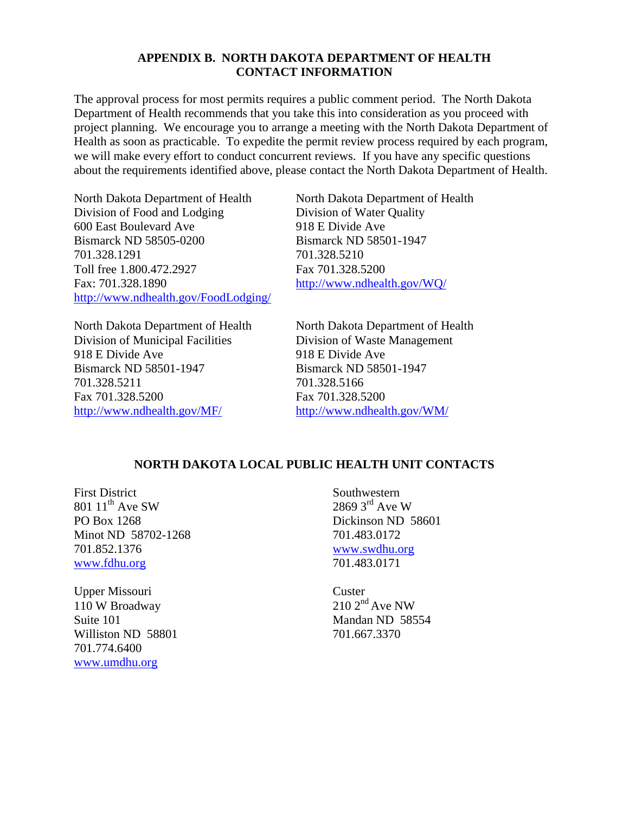#### **APPENDIX B. NORTH DAKOTA DEPARTMENT OF HEALTH CONTACT INFORMATION**

The approval process for most permits requires a public comment period. The North Dakota Department of Health recommends that you take this into consideration as you proceed with project planning. We encourage you to arrange a meeting with the North Dakota Department of Health as soon as practicable. To expedite the permit review process required by each program, we will make every effort to conduct concurrent reviews. If you have any specific questions about the requirements identified above, please contact the North Dakota Department of Health.

North Dakota Department of Health North Dakota Department of Health Division of Food and Lodging Division of Water Quality 600 East Boulevard Ave 918 E Divide Ave Bismarck ND 58505-0200 Bismarck ND 58501-1947 701.328.1291 701.328.5210 Toll free 1.800.472.2927 Fax 701.328.5200 Fax: 701.328.1890 <http://www.ndhealth.gov/WQ/> <http://www.ndhealth.gov/FoodLodging/>

North Dakota Department of Health North Dakota Department of Health Division of Municipal Facilities Division of Waste Management 918 E Divide Ave 918 E Divide Ave Bismarck ND 58501-1947 Bismarck ND 58501-1947 701.328.5211 701.328.5166 Fax 701.328.5200 Fax 701.328.5200 <http://www.ndhealth.gov/MF/> <http://www.ndhealth.gov/WM/>

### **NORTH DAKOTA LOCAL PUBLIC HEALTH UNIT CONTACTS**

First District 801  $11^{th}$  Ave SW PO Box 1268 Minot ND 58702-1268 701.852.1376 [www.fdhu.org](http://www.fdhu.org/)

Upper Missouri 110 W Broadway Suite 101 Williston ND 58801 701.774.6400 [www.umdhu.org](http://www.umdhu.org/)

Southwestern  $2869$   $3^{\text{rd}}$  Ave W Dickinson ND 58601 701.483.0172 [www.swdhu.org](http://www.swdhu.org/) 701.483.0171

**Custer**  $210\ 2<sup>nd</sup>$  Ave NW Mandan ND 58554 701.667.3370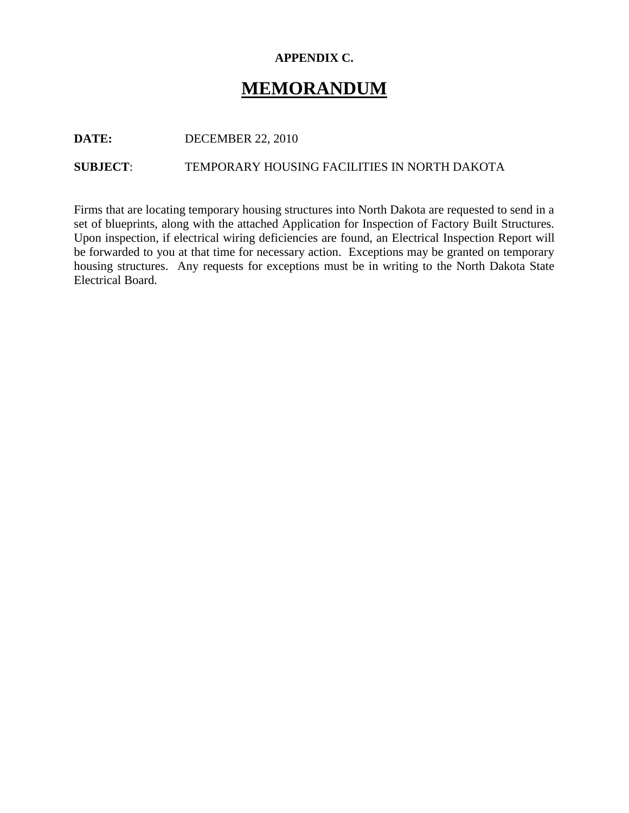# **APPENDIX C.**

# **MEMORANDUM**

**DATE:** DECEMBER 22, 2010

**SUBJECT**: TEMPORARY HOUSING FACILITIES IN NORTH DAKOTA

Firms that are locating temporary housing structures into North Dakota are requested to send in a set of blueprints, along with the attached Application for Inspection of Factory Built Structures. Upon inspection, if electrical wiring deficiencies are found, an Electrical Inspection Report will be forwarded to you at that time for necessary action. Exceptions may be granted on temporary housing structures. Any requests for exceptions must be in writing to the North Dakota State Electrical Board.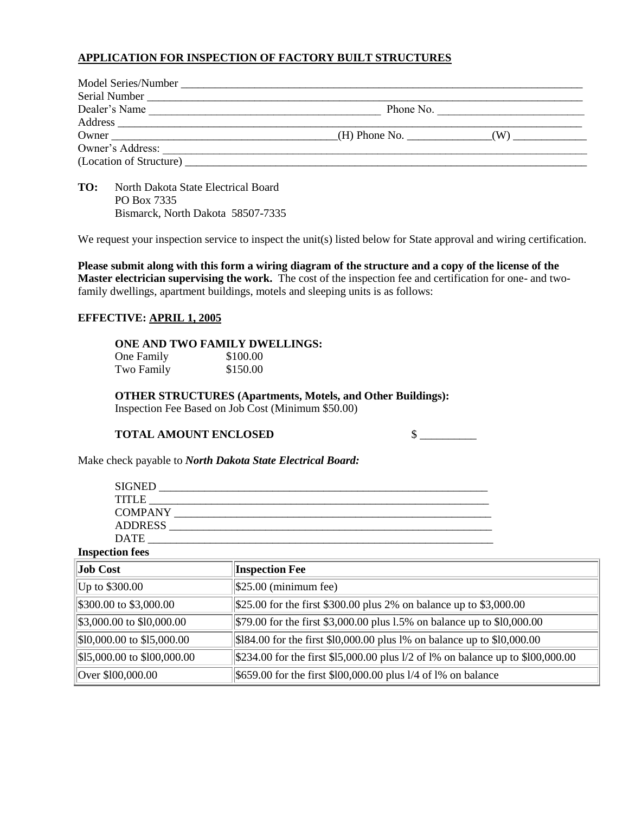#### **APPLICATION FOR INSPECTION OF FACTORY BUILT STRUCTURES**

| Model Series/Number                 |                 |                           |
|-------------------------------------|-----------------|---------------------------|
|                                     |                 |                           |
| Dealer's Name                       |                 | Phone No. $\qquad \qquad$ |
|                                     |                 |                           |
|                                     | $(H)$ Phone No. | (W)                       |
| Owner's Address:                    |                 |                           |
| (Location of Structure) ___________ |                 |                           |

**TO:** North Dakota State Electrical Board PO Box 7335 Bismarck, North Dakota 58507-7335

We request your inspection service to inspect the unit(s) listed below for State approval and wiring certification.

**Please submit along with this form a wiring diagram of the structure and a copy of the license of the Master electrician supervising the work.** The cost of the inspection fee and certification for one- and twofamily dwellings, apartment buildings, motels and sleeping units is as follows:

#### **EFFECTIVE: APRIL 1, 2005**

#### **ONE AND TWO FAMILY DWELLINGS:**

| One Family | \$100.00 |
|------------|----------|
| Two Family | \$150.00 |

# **OTHER STRUCTURES (Apartments, Motels, and Other Buildings):**

Inspection Fee Based on Job Cost (Minimum \$50.00)

#### **TOTAL AMOUNT ENCLOSED** \$ \_\_\_\_\_\_\_\_\_\_

Make check payable to *North Dakota State Electrical Board:*

| <b>SIGNED</b>  |  |
|----------------|--|
| <b>TITLE</b>   |  |
| <b>COMPANY</b> |  |
| <b>ADDRESS</b> |  |
| <b>DATE</b>    |  |

#### **Inspection fees**

| Job Cost                                | <b>Inspection Fee</b>                                                             |
|-----------------------------------------|-----------------------------------------------------------------------------------|
| $ Up \t{to } $300.00$                   | $\frac{1}{25.00}$ (minimum fee)                                                   |
| \$300.00 to \$3,000.00                  | $$25.00$ for the first \$300.00 plus 2% on balance up to \$3,000.00               |
| $\frac{1}{2}$ \$3,000.00 to \$10,000.00 | \$79.00 for the first \$3,000.00 plus 1.5% on balance up to \$10,000.00           |
| $\$10,000.00$ to \$15,000.00            | $\frac{1}{384.00}$ for the first \$10,000.00 plus 1% on balance up to \$10,000.00 |
| \$15,000.00 to \$100,000.00             | \$234.00 for the first \$15,000.00 plus 1/2 of 1% on balance up to \$100,000.00   |
| Over \$100,000.00                       | $\frac{1}{5659.00}$ for the first \$100,000.00 plus 1/4 of 1% on balance          |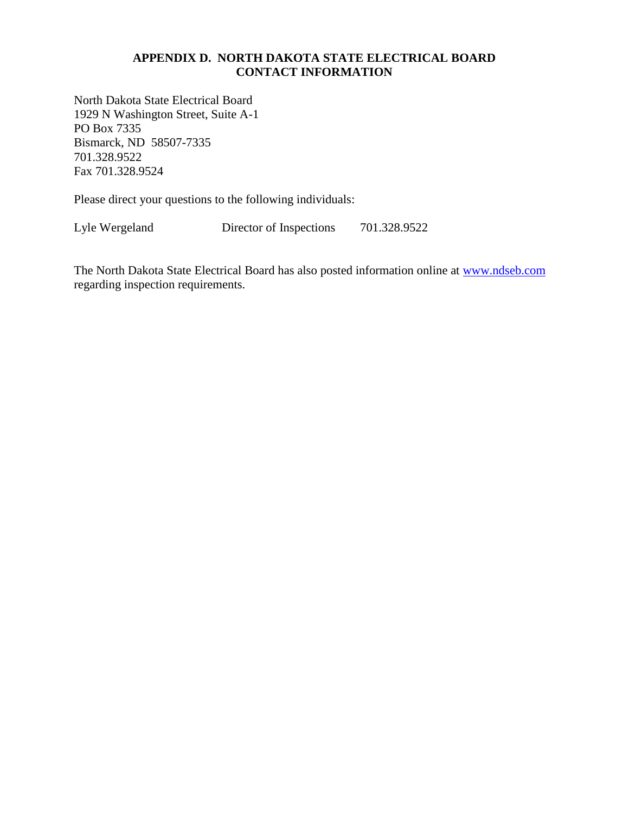## **APPENDIX D. NORTH DAKOTA STATE ELECTRICAL BOARD CONTACT INFORMATION**

North Dakota State Electrical Board 1929 N Washington Street, Suite A-1 PO Box 7335 Bismarck, ND 58507-7335 701.328.9522 Fax 701.328.9524

Please direct your questions to the following individuals:

Lyle Wergeland Director of Inspections 701.328.9522

The North Dakota State Electrical Board has also posted information online at [www.ndseb.com](http://www.ndseb.com/) regarding inspection requirements.